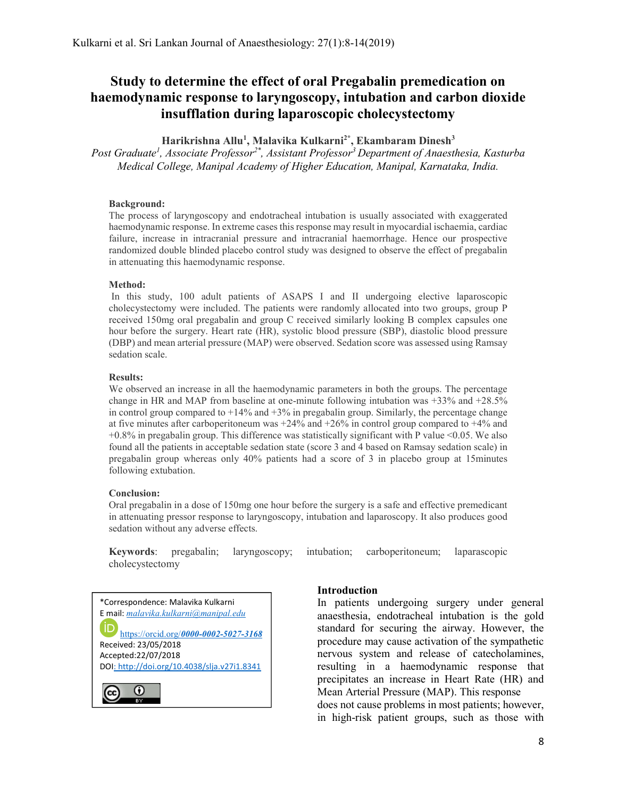# Study to determine the effect of oral Pregabalin premedication on haemodynamic response to laryngoscopy, intubation and carbon dioxide insufflation during laparoscopic cholecystectomy

Harikrishna Allu<sup>1</sup>, Malavika Kulkarni<sup>2\*</sup>, Ekambaram Dinesh<sup>3</sup>

Post Graduate<sup>1</sup>, Associate Professor<sup>2\*</sup>, Assistant Professor<sup>3</sup> Department of Anaesthesia, Kasturba Medical College, Manipal Academy of Higher Education, Manipal, Karnataka, India.

#### Background:

The process of laryngoscopy and endotracheal intubation is usually associated with exaggerated haemodynamic response. In extreme cases this response may result in myocardial ischaemia, cardiac failure, increase in intracranial pressure and intracranial haemorrhage. Hence our prospective randomized double blinded placebo control study was designed to observe the effect of pregabalin in attenuating this haemodynamic response.

#### Method:

In this study, 100 adult patients of ASAPS I and II undergoing elective laparoscopic cholecystectomy were included. The patients were randomly allocated into two groups, group P received 150mg oral pregabalin and group C received similarly looking B complex capsules one hour before the surgery. Heart rate (HR), systolic blood pressure (SBP), diastolic blood pressure (DBP) and mean arterial pressure (MAP) were observed. Sedation score was assessed using Ramsay sedation scale.

#### Results:

We observed an increase in all the haemodynamic parameters in both the groups. The percentage change in HR and MAP from baseline at one-minute following intubation was +33% and +28.5% in control group compared to  $+14\%$  and  $+3\%$  in pregabalin group. Similarly, the percentage change at five minutes after carboperitoneum was  $+24\%$  and  $+26\%$  in control group compared to  $+4\%$  and +0.8% in pregabalin group. This difference was statistically significant with P value <0.05. We also found all the patients in acceptable sedation state (score 3 and 4 based on Ramsay sedation scale) in pregabalin group whereas only 40% patients had a score of 3 in placebo group at 15minutes following extubation.

### Conclusion:

Oral pregabalin in a dose of 150mg one hour before the surgery is a safe and effective premedicant in attenuating pressor response to laryngoscopy, intubation and laparoscopy. It also produces good sedation without any adverse effects.

Keywords: pregabalin; laryngoscopy; intubation; carboperitoneum; laparascopic cholecystectomy



### Introduction

In patients undergoing surgery under general anaesthesia, endotracheal intubation is the gold standard for securing the airway. However, the procedure may cause activation of the sympathetic nervous system and release of catecholamines, resulting in a haemodynamic response that precipitates an increase in Heart Rate (HR) and Mean Arterial Pressure (MAP). This response does not cause problems in most patients; however, in high-risk patient groups, such as those with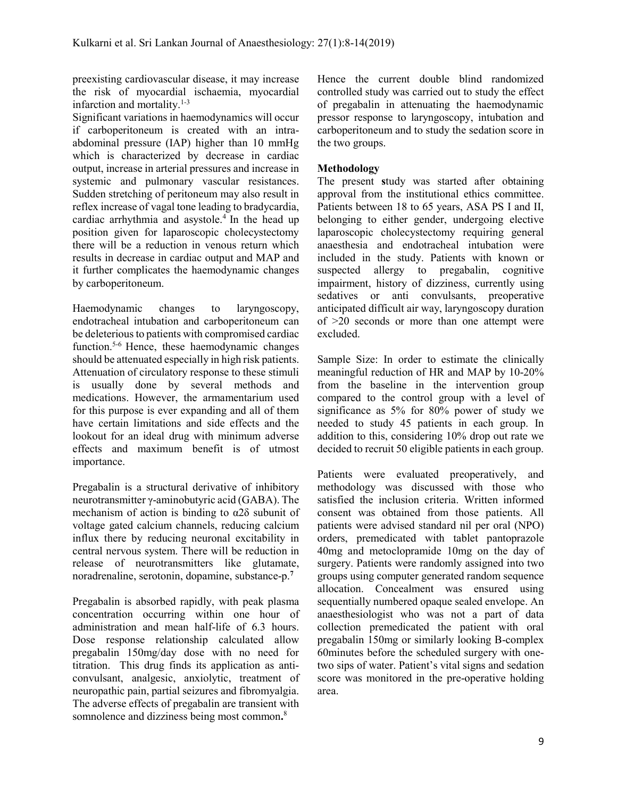preexisting cardiovascular disease, it may increase the risk of myocardial ischaemia, myocardial infarction and mortality. $1-3$ 

Significant variations in haemodynamics will occur if carboperitoneum is created with an intraabdominal pressure (IAP) higher than 10 mmHg which is characterized by decrease in cardiac output, increase in arterial pressures and increase in systemic and pulmonary vascular resistances. Sudden stretching of peritoneum may also result in reflex increase of vagal tone leading to bradycardia, cardiac arrhythmia and asystole.<sup>4</sup> In the head up position given for laparoscopic cholecystectomy there will be a reduction in venous return which results in decrease in cardiac output and MAP and it further complicates the haemodynamic changes by carboperitoneum.

Haemodynamic changes to laryngoscopy, endotracheal intubation and carboperitoneum can be deleterious to patients with compromised cardiac function.5-6 Hence, these haemodynamic changes should be attenuated especially in high risk patients. Attenuation of circulatory response to these stimuli is usually done by several methods and medications. However, the armamentarium used for this purpose is ever expanding and all of them have certain limitations and side effects and the lookout for an ideal drug with minimum adverse effects and maximum benefit is of utmost importance.

Pregabalin is a structural derivative of inhibitory neurotransmitter γ-aminobutyric acid (GABA). The mechanism of action is binding to  $\alpha$ 2 $\delta$  subunit of voltage gated calcium channels, reducing calcium influx there by reducing neuronal excitability in central nervous system. There will be reduction in release of neurotransmitters like glutamate, noradrenaline, serotonin, dopamine, substance-p.<sup>7</sup>

Pregabalin is absorbed rapidly, with peak plasma concentration occurring within one hour of administration and mean half-life of 6.3 hours. Dose response relationship calculated allow pregabalin 150mg/day dose with no need for titration. This drug finds its application as anticonvulsant, analgesic, anxiolytic, treatment of neuropathic pain, partial seizures and fibromyalgia. The adverse effects of pregabalin are transient with somnolence and dizziness being most common.<sup>8</sup>

Hence the current double blind randomized controlled study was carried out to study the effect of pregabalin in attenuating the haemodynamic pressor response to laryngoscopy, intubation and carboperitoneum and to study the sedation score in the two groups.

# Methodology

The present study was started after obtaining approval from the institutional ethics committee. Patients between 18 to 65 years, ASA PS I and II, belonging to either gender, undergoing elective laparoscopic cholecystectomy requiring general anaesthesia and endotracheal intubation were included in the study. Patients with known or suspected allergy to pregabalin, cognitive impairment, history of dizziness, currently using sedatives or anti convulsants, preoperative anticipated difficult air way, laryngoscopy duration of >20 seconds or more than one attempt were excluded.

Sample Size: In order to estimate the clinically meaningful reduction of HR and MAP by 10-20% from the baseline in the intervention group compared to the control group with a level of significance as 5% for 80% power of study we needed to study 45 patients in each group. In addition to this, considering 10% drop out rate we decided to recruit 50 eligible patients in each group.

Patients were evaluated preoperatively, and methodology was discussed with those who satisfied the inclusion criteria. Written informed consent was obtained from those patients. All patients were advised standard nil per oral (NPO) orders, premedicated with tablet pantoprazole 40mg and metoclopramide 10mg on the day of surgery. Patients were randomly assigned into two groups using computer generated random sequence allocation. Concealment was ensured using sequentially numbered opaque sealed envelope. An anaesthesiologist who was not a part of data collection premedicated the patient with oral pregabalin 150mg or similarly looking B-complex 60minutes before the scheduled surgery with onetwo sips of water. Patient's vital signs and sedation score was monitored in the pre-operative holding area.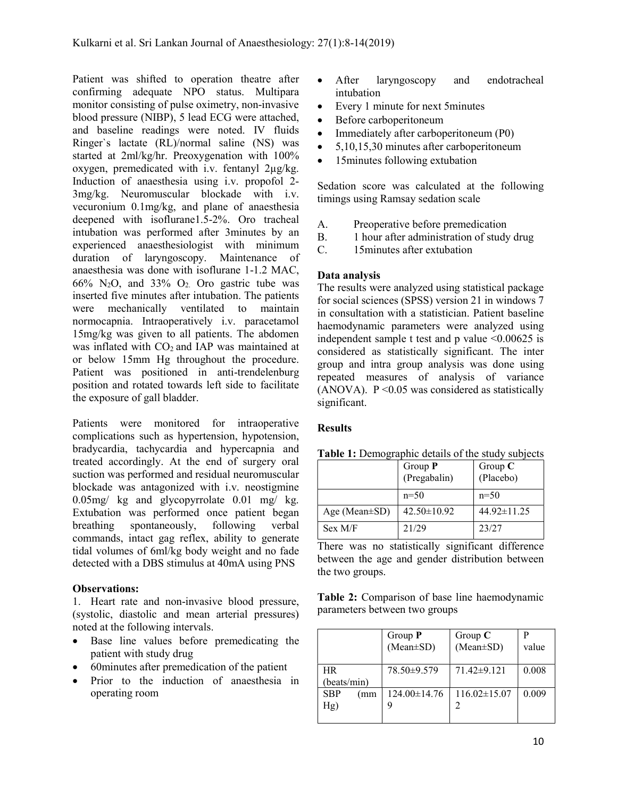Patient was shifted to operation theatre after confirming adequate NPO status. Multipara monitor consisting of pulse oximetry, non-invasive blood pressure (NIBP), 5 lead ECG were attached, and baseline readings were noted. IV fluids Ringer`s lactate (RL)/normal saline (NS) was started at 2ml/kg/hr. Preoxygenation with 100% oxygen, premedicated with i.v. fentanyl 2µg/kg. Induction of anaesthesia using i.v. propofol 2- 3mg/kg. Neuromuscular blockade with i.v. vecuronium 0.1mg/kg, and plane of anaesthesia deepened with isoflurane1.5-2%. Oro tracheal intubation was performed after 3minutes by an experienced anaesthesiologist with minimum duration of laryngoscopy. Maintenance of anaesthesia was done with isoflurane 1-1.2 MAC,  $66\%$  N<sub>2</sub>O, and 33% O<sub>2</sub>. Oro gastric tube was inserted five minutes after intubation. The patients were mechanically ventilated to maintain normocapnia. Intraoperatively i.v. paracetamol 15mg/kg was given to all patients. The abdomen was inflated with CO<sub>2</sub> and IAP was maintained at or below 15mm Hg throughout the procedure. Patient was positioned in anti-trendelenburg position and rotated towards left side to facilitate the exposure of gall bladder.

Patients were monitored for intraoperative complications such as hypertension, hypotension, bradycardia, tachycardia and hypercapnia and treated accordingly. At the end of surgery oral suction was performed and residual neuromuscular blockade was antagonized with i.v. neostigmine 0.05mg/ kg and glycopyrrolate 0.01 mg/ kg. Extubation was performed once patient began breathing spontaneously, following verbal commands, intact gag reflex, ability to generate tidal volumes of 6ml/kg body weight and no fade detected with a DBS stimulus at 40mA using PNS

# Observations:

1. Heart rate and non-invasive blood pressure, (systolic, diastolic and mean arterial pressures) noted at the following intervals.

- Base line values before premedicating the patient with study drug
- 60minutes after premedication of the patient
- Prior to the induction of anaesthesia in operating room
- After laryngoscopy and endotracheal intubation
- Every 1 minute for next 5minutes
- Before carboperitoneum
- Immediately after carboperitoneum (P0)
- 5,10,15,30 minutes after carboperitoneum
- 15minutes following extubation

Sedation score was calculated at the following timings using Ramsay sedation scale

- A. Preoperative before premedication
- B. 1 hour after administration of study drug<br>C. 15 minutes after extubation
- 15 minutes after extubation

# Data analysis

The results were analyzed using statistical package for social sciences (SPSS) version 21 in windows 7 in consultation with a statistician. Patient baseline haemodynamic parameters were analyzed using independent sample t test and p value  $\leq 0.00625$  is considered as statistically significant. The inter group and intra group analysis was done using repeated measures of analysis of variance (ANOVA).  $P \leq 0.05$  was considered as statistically significant.

# **Results**

|                     | Group $P$<br>(Pregabalin) | Group $C$<br>(Placebo) |
|---------------------|---------------------------|------------------------|
|                     | $n=50$                    | $n=50$                 |
| Age (Mean $\pm$ SD) | $42.50 \pm 10.92$         | 44.92±11.25            |
| Sex M/F             | 21/29                     | 23/27                  |

Table 1: Demographic details of the study subjects

There was no statistically significant difference between the age and gender distribution between the two groups.

Table 2: Comparison of base line haemodynamic parameters between two groups

|                          | Group $P$<br>(Mean±SD) | Group $\mathbf C$<br>(Mean±SD) | value |
|--------------------------|------------------------|--------------------------------|-------|
| <b>HR</b><br>(beats/min) | 78.50±9.579            | $71.42 \pm 9.121$              | 0.008 |
| <b>SBP</b><br>(mm<br>Hg) | 124.00±14.76           | $116.02\pm15.07$               | 0.009 |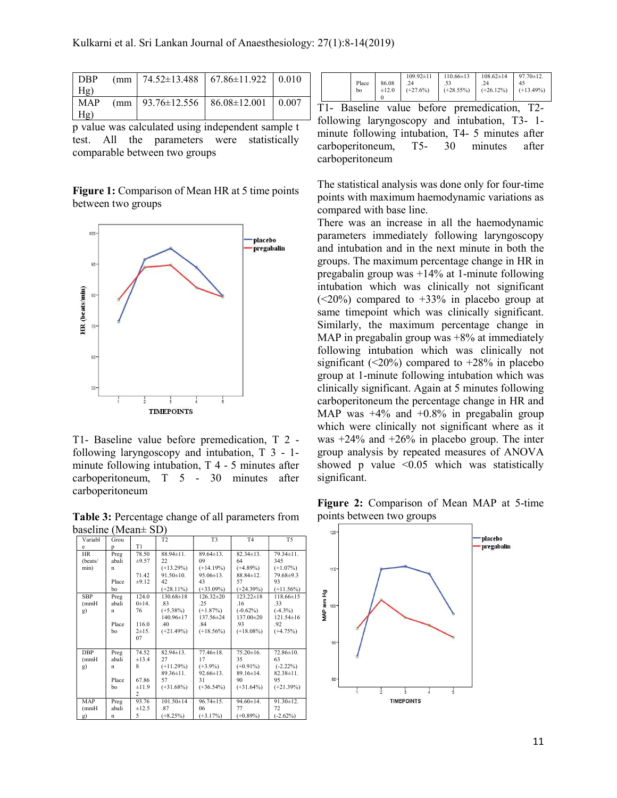| Hg) |  |                                                           |  |
|-----|--|-----------------------------------------------------------|--|
|     |  | MAP (mm   $93.76 \pm 12.556$   $86.08 \pm 12.001$   0.007 |  |
| Hg) |  |                                                           |  |

p value was calculated using independent sample t test. All the parameters were statistically comparable between two groups

Figure 1: Comparison of Mean HR at 5 time points between two groups



T1- Baseline value before premedication, T 2 following laryngoscopy and intubation, T 3 - 1 minute following intubation, T 4 - 5 minutes after carboperitoneum, T 5 - 30 minutes after carboperitoneum

Table 3: Percentage change of all parameters from baseline (Mean± SD)

| Variabl    | Grou        |                | T <sub>2</sub>  | T <sub>3</sub>  | T <sub>4</sub>  | T <sub>5</sub>  |
|------------|-------------|----------------|-----------------|-----------------|-----------------|-----------------|
| e          | p           | T <sub>1</sub> |                 |                 |                 |                 |
| <b>HR</b>  | Preg        | 78.50          | $88.94 \pm 11.$ | $89.64 \pm 13.$ | $82.34 \pm 13.$ | $79.34 \pm 11.$ |
| (beats/    | abali       | ±9.57          | 22              | 09              | 64              | 345             |
| min)       | $\mathbf n$ |                | $(+13.29%)$     | $(+14.19%)$     | $(+4.89\%)$     | $(+1.07%)$      |
|            |             | 71.42          | $91.50 \pm 10.$ | $95.06 \pm 13.$ | $88.84 \pm 12.$ | 79.68±9.3       |
|            | Place       | ±9.12          | 42              | 43              | 57              | 93              |
|            | bo          |                | $(+28.11\%)$    | $(+33.09\%)$    | $(+24.39%)$     | $(+11.56\%)$    |
| <b>SBP</b> | Preg        | 124.0          | $130.68 \pm 18$ | $126.32 \pm 20$ | $123.22 \pm 18$ | $118.66 \pm 15$ |
| (mmH)      | abali       | 0±14.          | .83             | .25             | .16             | .33             |
| g)         | $\mathbf n$ | 76             | $(+5.38\%)$     | $(+1.87%)$      | $(-0.62\%)$     | $(-4.3\%)$      |
|            |             |                | 140.96±17       | 137.56±24       | 137.00±20       | $121.54 \pm 16$ |
|            | Place       | 116.0          | .40             | .84             | .93             | .92             |
|            | bo          | $2 + 15.$      | $(+21.49%)$     | $(+18.56\%)$    | $(+18.08\%)$    | $(+4.75%)$      |
|            |             | 07             |                 |                 |                 |                 |
|            |             |                |                 |                 |                 |                 |
| <b>DBP</b> | Preg        | 74.52          | $82.94 \pm 13.$ | $77.46 \pm 18.$ | $75.20 \pm 16.$ | 72.86±10.       |
| (mmH)      | abali       | ±13.4          | 27              | 17              | 35              | 63              |
| g)         | $\mathbf n$ | 8              | $(+11.29%)$     | $(+3.9\%)$      | $(+0.91\%)$     | $(-2.22\%)$     |
|            |             |                | $89.36 \pm 11.$ | $92.66 \pm 13.$ | $89.16 \pm 14.$ | $82.38 \pm 11.$ |
|            | Place       | 67.86          | 57              | 31              | 90              | 95              |
|            | bo          | ±11.9          | $(+31.68%)$     | $(+36.54\%)$    | $(+31.64\%)$    | $(+21.39%)$     |
|            |             | 2              |                 |                 |                 |                 |
| MAP        | Preg        | 93.76          | $101.50 \pm 14$ | $96.74 \pm 15.$ | $94.60 \pm 14.$ | $91.30 \pm 12.$ |
| (mmH)      | abali       | ±12.5          | .87             | 06              | 77              | 72              |
| g)         | n           | 5              | $(+8.25%)$      | $(+3.17%)$      | $(+0.89\%)$     | $(-2.62%)$      |

|  | Place<br>bo | 86.08<br>$\pm 12.0$ | $109.92 \pm 11$<br>.24<br>$(+27.6\%)$ | $110.66 \pm 13$<br>$(+28.55%)$ | $108.62 \pm 14$<br>.24<br>$(+26.12\%)$ | $97.70 \pm 12.$<br>45<br>$( +13.49\%)$ |
|--|-------------|---------------------|---------------------------------------|--------------------------------|----------------------------------------|----------------------------------------|
|--|-------------|---------------------|---------------------------------------|--------------------------------|----------------------------------------|----------------------------------------|

T1- Baseline value before premedication, T2 following laryngoscopy and intubation, T3- 1 minute following intubation, T4- 5 minutes after carboperitoneum, T5- 30 minutes after carboperitoneum

The statistical analysis was done only for four-time points with maximum haemodynamic variations as compared with base line.

There was an increase in all the haemodynamic parameters immediately following laryngoscopy and intubation and in the next minute in both the groups. The maximum percentage change in HR in pregabalin group was +14% at 1-minute following intubation which was clinically not significant  $(<20\%)$  compared to  $+33\%$  in placebo group at same timepoint which was clinically significant. Similarly, the maximum percentage change in MAP in pregabalin group was  $+8\%$  at immediately following intubation which was clinically not significant ( $\leq$ 20%) compared to  $+28\%$  in placebo group at 1-minute following intubation which was clinically significant. Again at 5 minutes following carboperitoneum the percentage change in HR and MAP was +4% and +0.8% in pregabalin group which were clinically not significant where as it was +24% and +26% in placebo group. The inter group analysis by repeated measures of ANOVA showed p value  $\leq 0.05$  which was statistically significant.

Figure 2: Comparison of Mean MAP at 5-time points between two groups

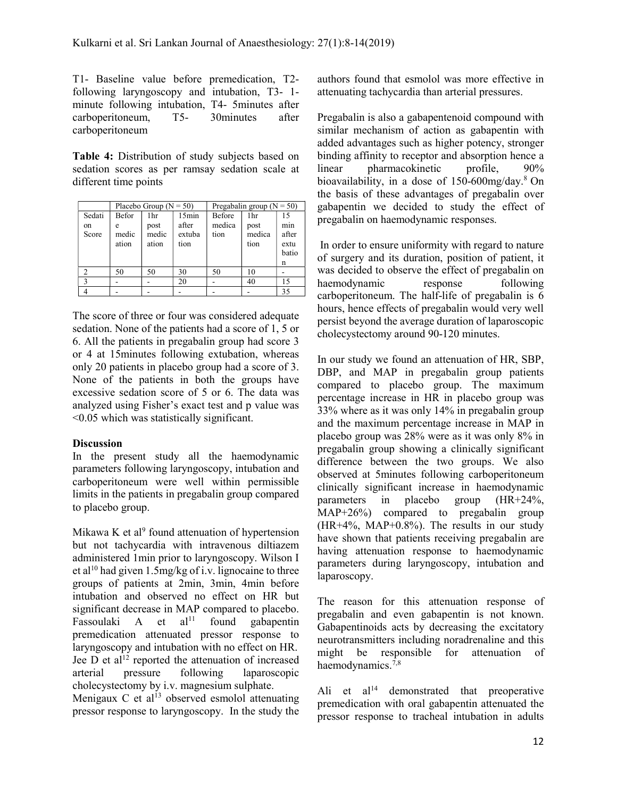T1- Baseline value before premedication, T2 following laryngoscopy and intubation, T3- 1 minute following intubation, T4- 5minutes after carboperitoneum, T5- 30minutes after carboperitoneum

Table 4: Distribution of study subjects based on sedation scores as per ramsay sedation scale at different time points

|        |              | Placebo Group ( $N = 50$ ) |        | Pregabalin group ( $N = 50$ ) |        |       |
|--------|--------------|----------------------------|--------|-------------------------------|--------|-------|
| Sedati | <b>Befor</b> | 1hr                        | 15min  | <b>Before</b>                 | 1hr    | 15    |
| on     | e            | post                       | after  | medica                        | post   | min   |
| Score  | medic        | medic                      | extuba | tion                          | medica | after |
|        | ation        | ation                      | tion   |                               | tion   | extu  |
|        |              |                            |        |                               |        | batio |
|        |              |                            |        |                               |        | n     |
|        | 50           | 50                         | 30     | 50                            | 10     |       |
|        |              |                            | 20     |                               | 40     | 15    |
|        |              |                            |        |                               |        | 35    |

The score of three or four was considered adequate sedation. None of the patients had a score of 1, 5 or 6. All the patients in pregabalin group had score 3 or 4 at 15minutes following extubation, whereas only 20 patients in placebo group had a score of 3. None of the patients in both the groups have excessive sedation score of 5 or 6. The data was analyzed using Fisher's exact test and p value was <0.05 which was statistically significant.

# **Discussion**

In the present study all the haemodynamic parameters following laryngoscopy, intubation and carboperitoneum were well within permissible limits in the patients in pregabalin group compared to placebo group.

Mikawa K et al<sup>9</sup> found attenuation of hypertension but not tachycardia with intravenous diltiazem administered 1min prior to laryngoscopy. Wilson I et al<sup>10</sup> had given 1.5mg/kg of i.v. lignocaine to three groups of patients at 2min, 3min, 4min before intubation and observed no effect on HR but significant decrease in MAP compared to placebo. Fassoulaki A et  $al<sup>11</sup>$  found gabapentin premedication attenuated pressor response to laryngoscopy and intubation with no effect on HR. Jee D et al<sup>12</sup> reported the attenuation of increased arterial pressure following laparoscopic cholecystectomy by i.v. magnesium sulphate.

Menigaux C et  $al<sup>13</sup>$  observed esmolol attenuating pressor response to laryngoscopy. In the study the authors found that esmolol was more effective in attenuating tachycardia than arterial pressures.

Pregabalin is also a gabapentenoid compound with similar mechanism of action as gabapentin with added advantages such as higher potency, stronger binding affinity to receptor and absorption hence a linear pharmacokinetic profile, 90% bioavailability, in a dose of  $150-600$ mg/day.<sup>8</sup> On the basis of these advantages of pregabalin over gabapentin we decided to study the effect of pregabalin on haemodynamic responses.

 In order to ensure uniformity with regard to nature of surgery and its duration, position of patient, it was decided to observe the effect of pregabalin on haemodynamic response following carboperitoneum. The half-life of pregabalin is 6 hours, hence effects of pregabalin would very well persist beyond the average duration of laparoscopic cholecystectomy around 90-120 minutes.

In our study we found an attenuation of HR, SBP, DBP, and MAP in pregabalin group patients compared to placebo group. The maximum percentage increase in HR in placebo group was 33% where as it was only 14% in pregabalin group and the maximum percentage increase in MAP in placebo group was 28% were as it was only 8% in pregabalin group showing a clinically significant difference between the two groups. We also observed at 5minutes following carboperitoneum clinically significant increase in haemodynamic parameters in placebo group (HR+24%, MAP+26%) compared to pregabalin group (HR+4%, MAP+0.8%). The results in our study have shown that patients receiving pregabalin are having attenuation response to haemodynamic parameters during laryngoscopy, intubation and laparoscopy.

The reason for this attenuation response of pregabalin and even gabapentin is not known. Gabapentinoids acts by decreasing the excitatory neurotransmitters including noradrenaline and this might be responsible for attenuation of haemodynamics. $7,8$ 

Ali et  $a^{14}$  demonstrated that preoperative premedication with oral gabapentin attenuated the pressor response to tracheal intubation in adults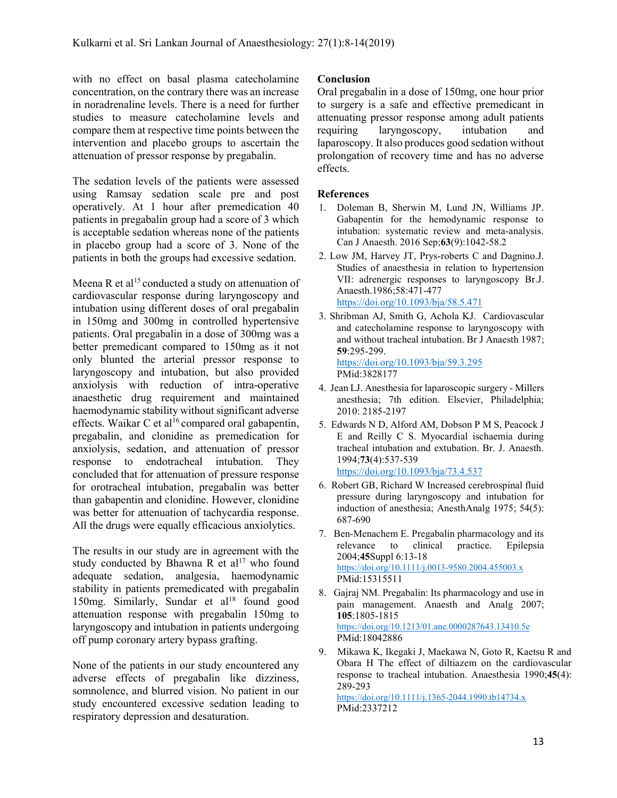with no effect on basal plasma catecholamine concentration, on the contrary there was an increase in noradrenaline levels. There is a need for further studies to measure catecholamine levels and compare them at respective time points between the intervention and placebo groups to ascertain the attenuation of pressor response by pregabalin.

The sedation levels of the patients were assessed using Ramsay sedation scale pre and post operatively. At 1 hour after premedication 40 patients in pregabalin group had a score of 3 which is acceptable sedation whereas none of the patients in placebo group had a score of 3. None of the patients in both the groups had excessive sedation.

Meena R et al<sup>15</sup> conducted a study on attenuation of cardiovascular response during laryngoscopy and intubation using different doses of oral pregabalin in 150mg and 300mg in controlled hypertensive patients. Oral pregabalin in a dose of 300mg was a better premedicant compared to 150mg as it not only blunted the arterial pressor response to laryngoscopy and intubation, but also provided anxiolysis with reduction of intra-operative anaesthetic drug requirement and maintained haemodynamic stability without significant adverse effects. Waikar C et al<sup>16</sup> compared oral gabapentin, pregabalin, and clonidine as premedication for anxiolysis, sedation, and attenuation of pressor response to endotracheal intubation. They concluded that for attenuation of pressure response for orotracheal intubation, pregabalin was better than gabapentin and clonidine. However, clonidine was better for attenuation of tachycardia response. All the drugs were equally efficacious anxiolytics.

The results in our study are in agreement with the study conducted by Bhawna R et al<sup>17</sup> who found adequate sedation, analgesia, haemodynamic stability in patients premedicated with pregabalin 150mg. Similarly, Sundar et al<sup>18</sup> found good attenuation response with pregabalin 150mg to laryngoscopy and intubation in patients undergoing off pump coronary artery bypass grafting.

None of the patients in our study encountered any adverse effects of pregabalin like dizziness, somnolence, and blurred vision. No patient in our study encountered excessive sedation leading to respiratory depression and desaturation.

# Conclusion

Oral pregabalin in a dose of 150mg, one hour prior to surgery is a safe and effective premedicant in attenuating pressor response among adult patients requiring laryngoscopy, intubation and laparoscopy. It also produces good sedation without prolongation of recovery time and has no adverse effects.

### References

- 1. Doleman B, Sherwin M, Lund JN, Williams JP. Gabapentin for the hemodynamic response to intubation: systematic review and meta-analysis. Can J Anaesth. 2016 Sep;63(9):1042-58.2
- 2. Low JM, Harvey JT, Prys-roberts C and Dagnino.J. Studies of anaesthesia in relation to hypertension VII: adrenergic responses to laryngoscopy Br.J. Anaesth.1986;58:471-477 https://doi.org/10.1093/bja/58.5.471
- 3. Shribman AJ, Smith G, Achola KJ. Cardiovascular and catecholamine response to laryngoscopy with and without tracheal intubation. Br J Anaesth 1987; 59:295-299. https://doi.org/10.1093/bja/59.3.295 PMid:3828177
- 4. Jean LJ. Anesthesia for laparoscopic surgery Millers anesthesia; 7th edition. Elsevier, Philadelphia; 2010: 2185-2197
- 5. Edwards N D, Alford AM, Dobson P M S, Peacock J E and Reilly C S. Myocardial ischaemia during tracheal intubation and extubation. Br. J. Anaesth. 1994;73(4):537-539 https://doi.org/10.1093/bja/73.4.537
- 6. Robert GB, Richard W Increased cerebrospinal fluid pressure during laryngoscopy and intubation for induction of anesthesia; AnesthAnalg 1975; 54(5): 687-690
- 7. Ben-Menachem E. Pregabalin pharmacology and its relevance to clinical practice. Epilepsia 2004;45Suppl 6:13-18 https://doi.org/10.1111/j.0013-9580.2004.455003.x PMid:15315511
- 8. Gajraj NM. Pregabalin: Its pharmacology and use in pain management. Anaesth and Analg 2007; 105:1805-1815 https://doi.org/10.1213/01.ane.0000287643.13410.5e PMid:18042886
- 9. Mikawa K, Ikegaki J, Maekawa N, Goto R, Kaetsu R and Obara H The effect of diltiazem on the cardiovascular response to tracheal intubation. Anaesthesia 1990;45(4): 289-293 https://doi.org/10.1111/j.1365-2044.1990.tb14734.x PMid:2337212